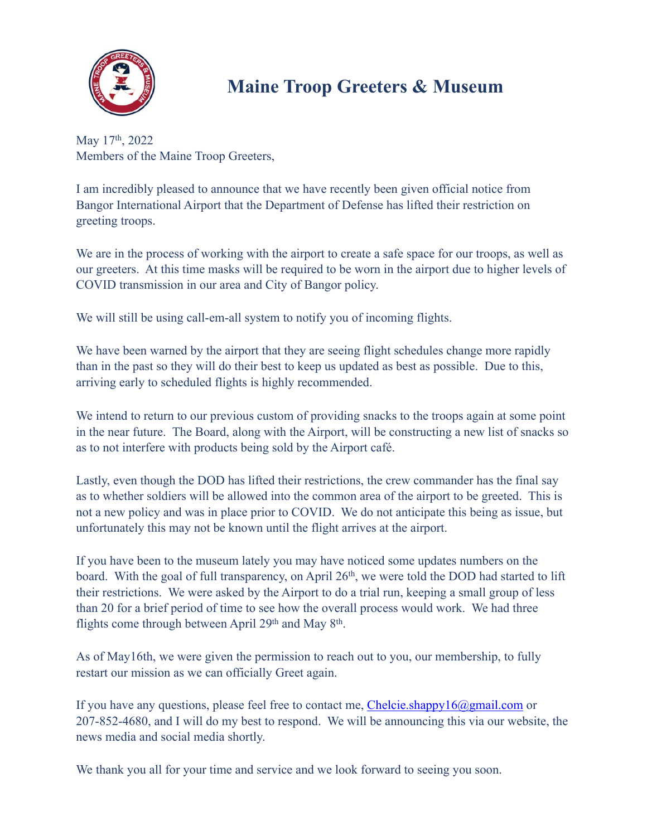

## **Maine Troop Greeters & Museum**

May 17<sup>th</sup>, 2022 Members of the Maine Troop Greeters,

I am incredibly pleased to announce that we have recently been given official notice from Bangor International Airport that the Department of Defense has lifted their restriction on greeting troops.

We are in the process of working with the airport to create a safe space for our troops, as well as our greeters. At this time masks will be required to be worn in the airport due to higher levels of COVID transmission in our area and City of Bangor policy.

We will still be using call-em-all system to notify you of incoming flights.

We have been warned by the airport that they are seeing flight schedules change more rapidly than in the past so they will do their best to keep us updated as best as possible. Due to this, arriving early to scheduled flights is highly recommended.

We intend to return to our previous custom of providing snacks to the troops again at some point in the near future. The Board, along with the Airport, will be constructing a new list of snacks so as to not interfere with products being sold by the Airport café.

Lastly, even though the DOD has lifted their restrictions, the crew commander has the final say as to whether soldiers will be allowed into the common area of the airport to be greeted. This is not a new policy and was in place prior to COVID. We do not anticipate this being as issue, but unfortunately this may not be known until the flight arrives at the airport.

If you have been to the museum lately you may have noticed some updates numbers on the board. With the goal of full transparency, on April 26<sup>th</sup>, we were told the DOD had started to lift their restrictions. We were asked by the Airport to do a trial run, keeping a small group of less than 20 for a brief period of time to see how the overall process would work. We had three flights come through between April  $29<sup>th</sup>$  and May  $8<sup>th</sup>$ .

As of May16th, we were given the permission to reach out to you, our membership, to fully restart our mission as we can officially Greet again.

If you have any questions, please feel free to contact me, [Chelcie.shappy16@gmail.com](mailto:Chelcie.shappy16@gmail.com) or 207-852-4680, and I will do my best to respond. We will be announcing this via our website, the news media and social media shortly.

We thank you all for your time and service and we look forward to seeing you soon.